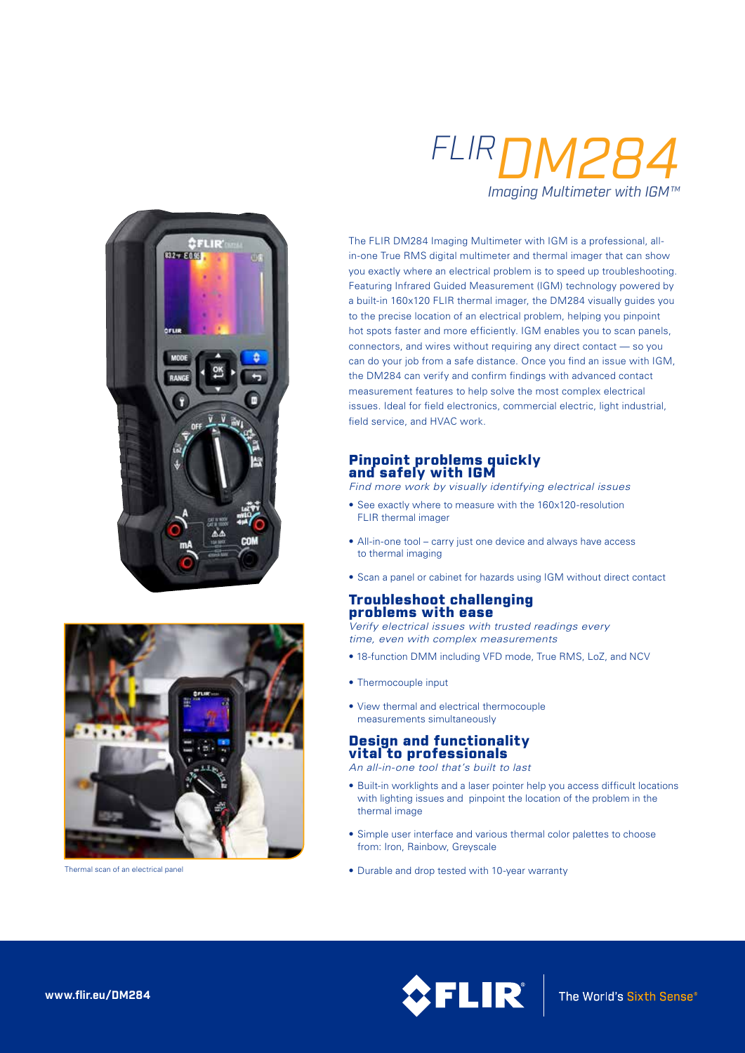



Thermal scan of an electrical panel

# *FLIRDM284 Imaging Multimeter with IGM™*

The FLIR DM284 Imaging Multimeter with IGM is a professional, allin-one True RMS digital multimeter and thermal imager that can show you exactly where an electrical problem is to speed up troubleshooting. Featuring Infrared Guided Measurement (IGM) technology powered by a built-in 160x120 FLIR thermal imager, the DM284 visually guides you to the precise location of an electrical problem, helping you pinpoint hot spots faster and more efficiently. IGM enables you to scan panels, connectors, and wires without requiring any direct contact — so you can do your job from a safe distance. Once you find an issue with IGM, the DM284 can verify and confirm findings with advanced contact measurement features to help solve the most complex electrical issues. Ideal for field electronics, commercial electric, light industrial, field service, and HVAC work.

# Pinpoint problems quickly and safely with IGM

*Find more work by visually identifying electrical issues*

- See exactly where to measure with the 160x120-resolution FLIR thermal imager
- All-in-one tool carry just one device and always have access to thermal imaging
- Scan a panel or cabinet for hazards using IGM without direct contact

## Troubleshoot challenging problems with ease

*Verify electrical issues with trusted readings every time, even with complex measurements*

- 18-function DMM including VFD mode, True RMS, LoZ, and NCV
- Thermocouple input
- View thermal and electrical thermocouple measurements simultaneously

## Design and functionality vital to professionals

*An all-in-one tool that's built to last*

- Built-in worklights and a laser pointer help you access difficult locations with lighting issues and pinpoint the location of the problem in the thermal image
- Simple user interface and various thermal color palettes to choose from: Iron, Rainbow, Greyscale
- Durable and drop tested with 10-year warranty